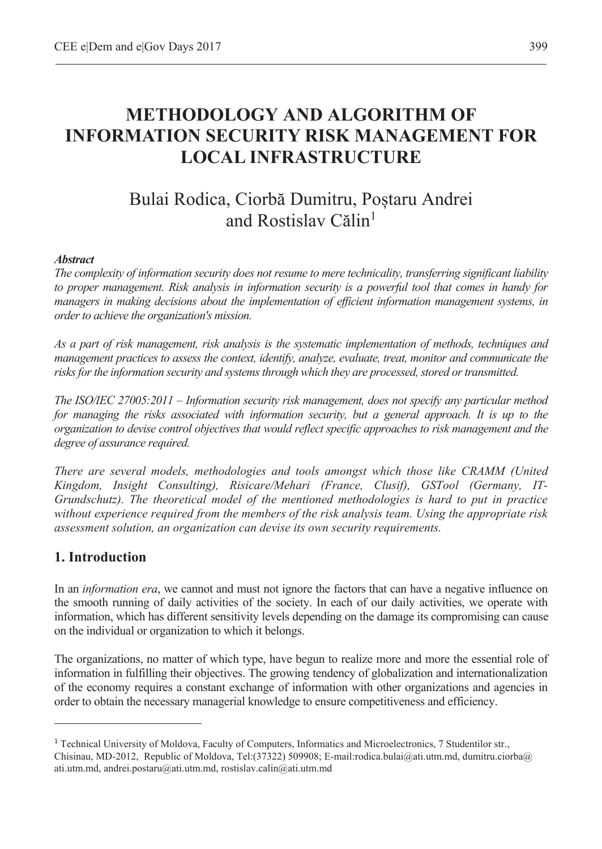# **METHODOLOGY AND ALGORITHM OF INFORMATION SECURITY RISK MANAGEMENT FOR LOCAL INFRASTRUCTURE**

# Bulai Rodica, Ciorbă Dumitru, Postaru Andrei and Rostislav Călin<sup>1</sup>

#### *Abstract*

*The complexity of information security does not resume to mere technicality, transferring significant liability to proper management. Risk analysis in information security is a powerful tool that comes in handy for managers in making decisions about the implementation of efficient information management systems, in order to achieve the organization's mission.* 

*As a part of risk management, risk analysis is the systematic implementation of methods, techniques and management practices to assess the context, identify, analyze, evaluate, treat, monitor and communicate the risks for the information security and systems through which they are processed, stored or transmitted.* 

*The ISO/IEC 27005:2011 – Information security risk management, does not specify any particular method for managing the risks associated with information security, but a general approach. It is up to the organization to devise control objectives that would reflect specific approaches to risk management and the degree of assurance required.* 

*There are several models, methodologies and tools amongst which those like CRAMM (United Kingdom, Insight Consulting), Risicare/Mehari (France, Clusif), GSTool (Germany, IT-Grundschutz). The theoretical model of the mentioned methodologies is hard to put in practice without experience required from the members of the risk analysis team. Using the appropriate risk assessment solution, an organization can devise its own security requirements.*

## **1. Introduction**

 $\overline{a}$ 

In an *information era*, we cannot and must not ignore the factors that can have a negative influence on the smooth running of daily activities of the society. In each of our daily activities, we operate with information, which has different sensitivity levels depending on the damage its compromising can cause on the individual or organization to which it belongs.

The organizations, no matter of which type, have begun to realize more and more the essential role of information in fulfilling their objectives. The growing tendency of globalization and internationalization of the economy requires a constant exchange of information with other organizations and agencies in order to obtain the necessary managerial knowledge to ensure competitiveness and efficiency.

<sup>1</sup> Technical University of Moldova, Faculty of Computers, Informatics and Microelectronics, 7 Studentilor str., Chisinau, MD-2012, Republic of Moldova, Tel:(37322) 509908; E-mail:rodica.bulai@ati.utm.md, dumitru.ciorba@ ati.utm.md, andrei.postaru@ati.utm.md, rostislav.calin@ati.utm.md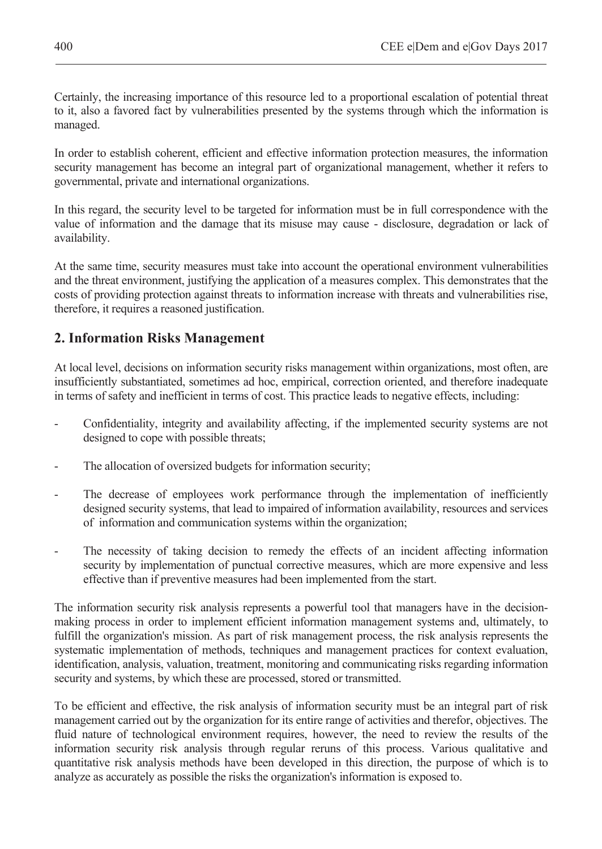Certainly, the increasing importance of this resource led to a proportional escalation of potential threat to it, also a favored fact by vulnerabilities presented by the systems through which the information is managed.

In order to establish coherent, efficient and effective information protection measures, the information security management has become an integral part of organizational management, whether it refers to governmental, private and international organizations.

In this regard, the security level to be targeted for information must be in full correspondence with the value of information and the damage that its misuse may cause - disclosure, degradation or lack of availability.

At the same time, security measures must take into account the operational environment vulnerabilities and the threat environment, justifying the application of a measures complex. This demonstrates that the costs of providing protection against threats to information increase with threats and vulnerabilities rise, therefore, it requires a reasoned justification.

## **2. Information Risks Management**

At local level, decisions on information security risks management within organizations, most often, are insufficiently substantiated, sometimes ad hoc, empirical, correction oriented, and therefore inadequate in terms of safety and inefficient in terms of cost. This practice leads to negative effects, including:

- Confidentiality, integrity and availability affecting, if the implemented security systems are not designed to cope with possible threats;
- The allocation of oversized budgets for information security;
- The decrease of employees work performance through the implementation of inefficiently designed security systems, that lead to impaired of information availability, resources and services of information and communication systems within the organization;
- The necessity of taking decision to remedy the effects of an incident affecting information security by implementation of punctual corrective measures, which are more expensive and less effective than if preventive measures had been implemented from the start.

The information security risk analysis represents a powerful tool that managers have in the decisionmaking process in order to implement efficient information management systems and, ultimately, to fulfill the organization's mission. As part of risk management process, the risk analysis represents the systematic implementation of methods, techniques and management practices for context evaluation, identification, analysis, valuation, treatment, monitoring and communicating risks regarding information security and systems, by which these are processed, stored or transmitted.

To be efficient and effective, the risk analysis of information security must be an integral part of risk management carried out by the organization for its entire range of activities and therefor, objectives. The fluid nature of technological environment requires, however, the need to review the results of the information security risk analysis through regular reruns of this process. Various qualitative and quantitative risk analysis methods have been developed in this direction, the purpose of which is to analyze as accurately as possible the risks the organization's information is exposed to.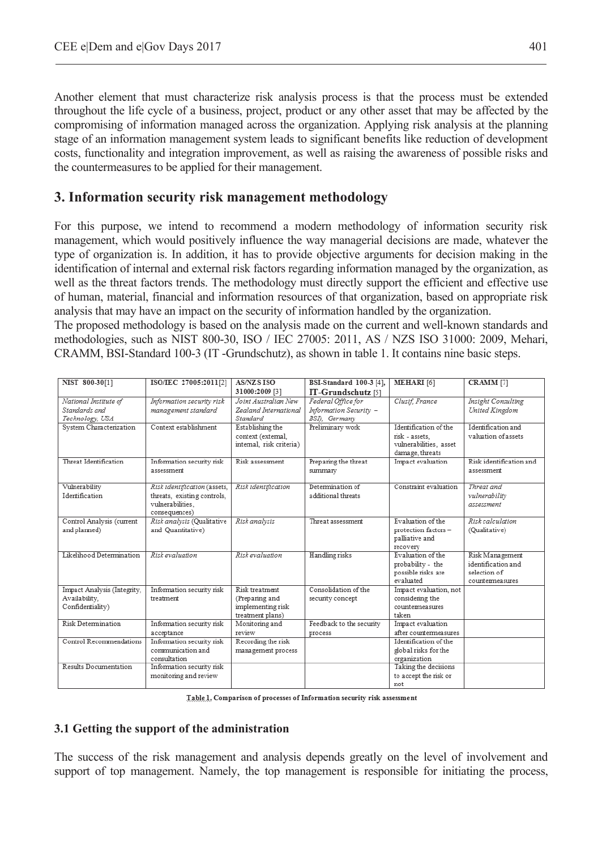Another element that must characterize risk analysis process is that the process must be extended throughout the life cycle of a business, project, product or any other asset that may be affected by the compromising of information managed across the organization. Applying risk analysis at the planning stage of an information management system leads to significant benefits like reduction of development costs, functionality and integration improvement, as well as raising the awareness of possible risks and the countermeasures to be applied for their management.

## **3. Information security risk management methodology**

For this purpose, we intend to recommend a modern methodology of information security risk management, which would positively influence the way managerial decisions are made, whatever the type of organization is. In addition, it has to provide objective arguments for decision making in the identification of internal and external risk factors regarding information managed by the organization, as well as the threat factors trends. The methodology must directly support the efficient and effective use of human, material, financial and information resources of that organization, based on appropriate risk analysis that may have an impact on the security of information handled by the organization.

The proposed methodology is based on the analysis made on the current and well-known standards and methodologies, such as NIST 800-30, ISO / IEC 27005: 2011, AS / NZS ISO 31000: 2009, Mehari, CRAMM, BSI-Standard 100-3 (IT -Grundschutz), as shown in table 1. It contains nine basic steps.

| NIST 800-30[1]              | ISO/IEC 27005:2011[2]                   | <b>AS/NZSISO</b>         | BSI-Standard 100-3 [4],  | MEHARI <sup>[6]</sup>                      | CRAMM <sup>[7]</sup>      |
|-----------------------------|-----------------------------------------|--------------------------|--------------------------|--------------------------------------------|---------------------------|
|                             |                                         | 31000:2009 [3]           | IT-Grundschutz [5]       |                                            |                           |
| National Institute of       | Information security risk               | Joint Australian New     | Federal Office for       | Clusif, France                             | <b>Insight Consulting</b> |
| Standards and               | management standard                     | Zealand International    | Information Security -   |                                            | United Kingdom            |
| Technology, USA             |                                         | Standard                 | BSI), Germany            |                                            |                           |
| System Characterization     | Context establishment                   | Establishing the         | Preliminary work         | Identification of the                      | Identification and        |
|                             |                                         | context (extemal.        |                          | risk - assets.                             | valuation of assets       |
|                             |                                         | intemal, risk criteria)  |                          | vulnerabilities, asset                     |                           |
|                             |                                         |                          |                          | damage, threats                            |                           |
| Threat Identification       | Information security risk               | Risk assessment          | Preparing the threat     | Impact evaluation                          | Risk identification and   |
|                             | assessment                              |                          | summary                  |                                            | assessment                |
| Vulnerability               | Risk identification (assets,            | Risk identification      | Determination of         | Constraint evaluation                      | Threat and                |
| Identification              | threats, existing controls,             |                          | additional threats       |                                            | vulnerability             |
|                             | vulnerabilities.                        |                          |                          |                                            | assessment                |
|                             | consequences)                           |                          |                          |                                            |                           |
| Control Analysis (current   | Risk analysis (Qualitative              | Risk analysis            | Threat assessment        | Evaluation of the                          | Risk calculation          |
| and planned)                | and Quantitative)                       |                          |                          | protection factors-                        | (Qualitative)             |
|                             |                                         |                          |                          | palliative and                             |                           |
|                             |                                         |                          |                          | recovery                                   |                           |
| Likelihood Determination    | Risk evaluation                         | Risk evaluation          | Handling risks           | Evaluation of the                          | Risk Management           |
|                             |                                         |                          |                          | probability - the                          | identification and        |
|                             |                                         |                          |                          | possible risks are                         | selection of              |
|                             |                                         |                          |                          | evaluated                                  | countemeasures            |
| Impact Analysis (Integrity, | Information security risk               | Risk treatment           | Consolidation of the     | Impact evaluation, not                     |                           |
| Availability,               | treatment                               | (Preparing and           | security concept         | considering the                            |                           |
| Confidentiality)            |                                         | implementing risk        |                          | countermeasures                            |                           |
|                             |                                         | treatment plans)         |                          | taken                                      |                           |
| <b>Risk Determination</b>   | Information security risk               | Monitoring and<br>review | Feedback to the security | Impact evaluation<br>after countermeasures |                           |
| Control Recommendations     | acceptance<br>Information security risk |                          | process                  | Identification of the                      |                           |
|                             | communication and                       | Recording the risk       |                          |                                            |                           |
|                             | consultation                            | management process       |                          | global risks for the<br>organization       |                           |
| Results Documentation       | Information security risk               |                          |                          | Taking the decisions                       |                           |
|                             | monitoring and review                   |                          |                          | to accept the risk or                      |                           |
|                             |                                         |                          |                          | not                                        |                           |
|                             |                                         |                          |                          |                                            |                           |

Table 1. Comparison of processes of Information security risk assessment

### **3.1 Getting the support of the administration**

The success of the risk management and analysis depends greatly on the level of involvement and support of top management. Namely, the top management is responsible for initiating the process,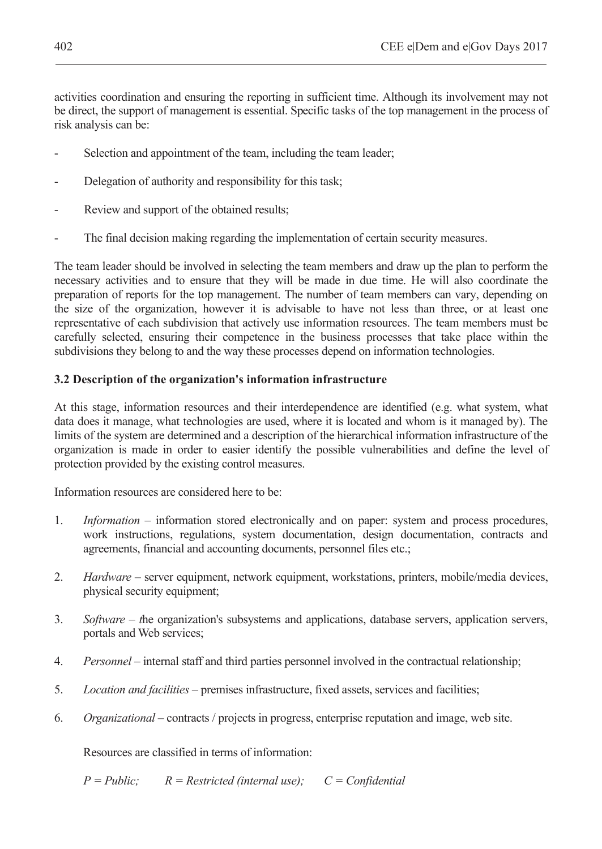activities coordination and ensuring the reporting in sufficient time. Although its involvement may not be direct, the support of management is essential. Specific tasks of the top management in the process of risk analysis can be:

- Selection and appointment of the team, including the team leader;
- Delegation of authority and responsibility for this task:
- Review and support of the obtained results;
- The final decision making regarding the implementation of certain security measures.

The team leader should be involved in selecting the team members and draw up the plan to perform the necessary activities and to ensure that they will be made in due time. He will also coordinate the preparation of reports for the top management. The number of team members can vary, depending on the size of the organization, however it is advisable to have not less than three, or at least one representative of each subdivision that actively use information resources. The team members must be carefully selected, ensuring their competence in the business processes that take place within the subdivisions they belong to and the way these processes depend on information technologies.

### **3.2 Description of the organization's information infrastructure**

At this stage, information resources and their interdependence are identified (e.g. what system, what data does it manage, what technologies are used, where it is located and whom is it managed by). The limits of the system are determined and a description of the hierarchical information infrastructure of the organization is made in order to easier identify the possible vulnerabilities and define the level of protection provided by the existing control measures.

Information resources are considered here to be:

- 1. *Information* information stored electronically and on paper: system and process procedures, work instructions, regulations, system documentation, design documentation, contracts and agreements, financial and accounting documents, personnel files etc.;
- 2. *Hardware* server equipment, network equipment, workstations, printers, mobile/media devices, physical security equipment;
- 3. *Software t*he organization's subsystems and applications, database servers, application servers, portals and Web services;
- 4. *Personnel* internal staff and third parties personnel involved in the contractual relationship;
- 5. *Location and facilities* premises infrastructure, fixed assets, services and facilities;
- 6. *Organizational* contracts / projects in progress, enterprise reputation and image, web site.

Resources are classified in terms of information:

 *P = Public; R = Restricted (internal use); C = Confidential*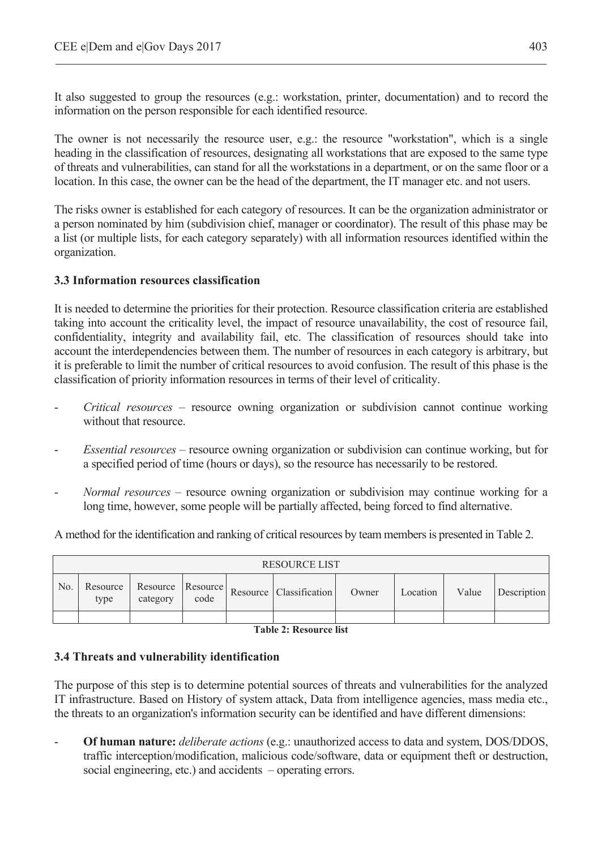It also suggested to group the resources (e.g.: workstation, printer, documentation) and to record the information on the person responsible for each identified resource.

The owner is not necessarily the resource user, e.g.: the resource "workstation", which is a single heading in the classification of resources, designating all workstations that are exposed to the same type of threats and vulnerabilities, can stand for all the workstations in a department, or on the same floor or a location. In this case, the owner can be the head of the department, the IT manager etc. and not users.

The risks owner is established for each category of resources. It can be the organization administrator or a person nominated by him (subdivision chief, manager or coordinator). The result of this phase may be a list (or multiple lists, for each category separately) with all information resources identified within the organization.

#### **3.3 Information resources classification**

It is needed to determine the priorities for their protection. Resource classification criteria are established taking into account the criticality level, the impact of resource unavailability, the cost of resource fail, confidentiality, integrity and availability fail, etc. The classification of resources should take into account the interdependencies between them. The number of resources in each category is arbitrary, but it is preferable to limit the number of critical resources to avoid confusion. The result of this phase is the classification of priority information resources in terms of their level of criticality.

- *Critical resources* resource owning organization or subdivision cannot continue working without that resource.
- *Essential resources –* resource owning organization or subdivision can continue working, but for a specified period of time (hours or days), so the resource has necessarily to be restored.
- *Normal resources –* resource owning organization or subdivision may continue working for a long time, however, some people will be partially affected, being forced to find alternative.

A method for the identification and ranking of critical resources by team members is presented in Table 2.

|     | <b>RESOURCE LIST</b> |          |      |  |                                                            |       |          |       |             |
|-----|----------------------|----------|------|--|------------------------------------------------------------|-------|----------|-------|-------------|
| No. | type                 | category | code |  | Resource   Resource   Resource   Resource   Classification | Owner | Location | Value | Description |
|     |                      |          |      |  |                                                            |       |          |       |             |

**Table 2: Resource list** 

#### **3.4 Threats and vulnerability identification**

The purpose of this step is to determine potential sources of threats and vulnerabilities for the analyzed IT infrastructure. Based on History of system attack, Data from intelligence agencies, mass media etc., the threats to an organization's information security can be identified and have different dimensions:

- **Of human nature:** *deliberate actions* (e.g.: unauthorized access to data and system, DOS/DDOS, traffic interception/modification, malicious code/software, data or equipment theft or destruction, social engineering, etc.) and accidents – operating errors.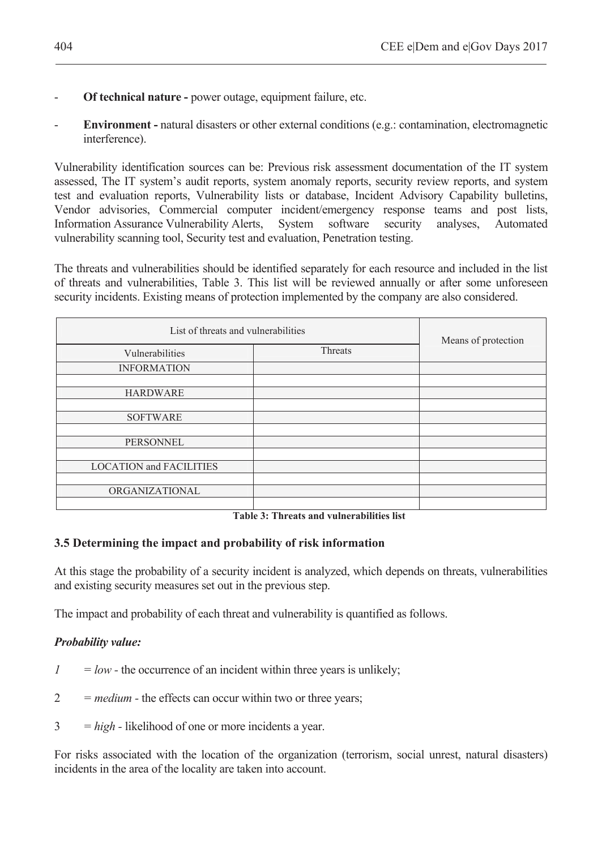- **Of technical nature** power outage, equipment failure, etc.
- **Environment natural disasters or other external conditions (e.g.: contamination, electromagnetic** interference).

Vulnerability identification sources can be: Previous risk assessment documentation of the IT system assessed, The IT system's audit reports, system anomaly reports, security review reports, and system test and evaluation reports, Vulnerability lists or database, Incident Advisory Capability bulletins, Vendor advisories, Commercial computer incident/emergency response teams and post lists, Information Assurance Vulnerability Alerts, System software security analyses, Automated vulnerability scanning tool, Security test and evaluation, Penetration testing.

The threats and vulnerabilities should be identified separately for each resource and included in the list of threats and vulnerabilities, Table 3. This list will be reviewed annually or after some unforeseen security incidents. Existing means of protection implemented by the company are also considered.

| List of threats and vulnerabilities | Means of protection |  |  |
|-------------------------------------|---------------------|--|--|
| Vulnerabilities                     | Threats             |  |  |
| <b>INFORMATION</b>                  |                     |  |  |
| <b>HARDWARE</b>                     |                     |  |  |
| <b>SOFTWARE</b>                     |                     |  |  |
| <b>PERSONNEL</b>                    |                     |  |  |
| <b>LOCATION and FACILITIES</b>      |                     |  |  |
| ORGANIZATIONAL                      |                     |  |  |
|                                     |                     |  |  |

**Table 3: Threats and vulnerabilities list** 

### **3.5 Determining the impact and probability of risk information**

At this stage the probability of a security incident is analyzed, which depends on threats, vulnerabilities and existing security measures set out in the previous step.

The impact and probability of each threat and vulnerability is quantified as follows.

### *Probability value:*

- $1 = low$  the occurrence of an incident within three years is unlikely;
- 2 *= medium -* the effects can occur within two or three years;
- 3 *= high -* likelihood of one or more incidents a year.

For risks associated with the location of the organization (terrorism, social unrest, natural disasters) incidents in the area of the locality are taken into account.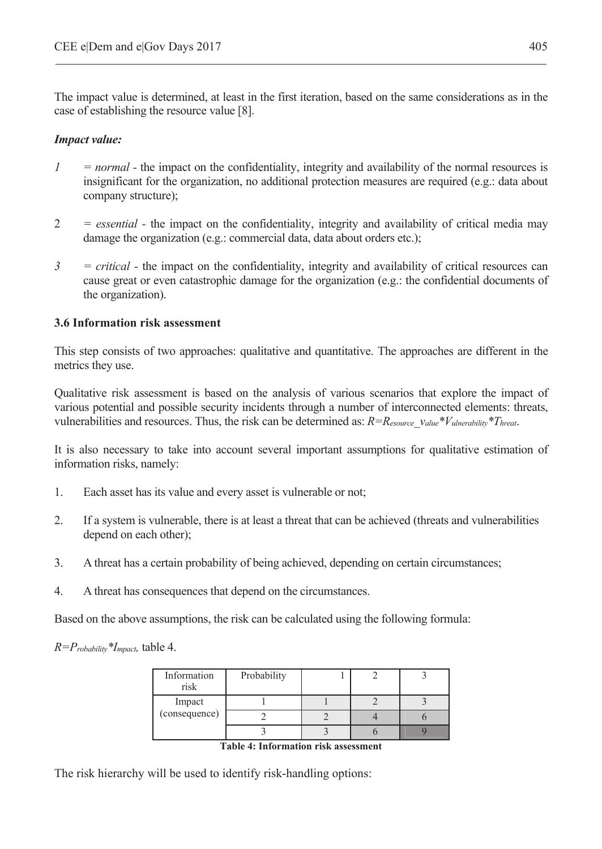The impact value is determined, at least in the first iteration, based on the same considerations as in the case of establishing the resource value [8].

#### *Impact value:*

- *1* = *normal* the impact on the confidentiality, integrity and availability of the normal resources is insignificant for the organization, no additional protection measures are required (e.g.: data about company structure);
- 2 *= essential* the impact on the confidentiality, integrity and availability of critical media may damage the organization (e.g.: commercial data, data about orders etc.);
- *3 = critical -* the impact on the confidentiality, integrity and availability of critical resources can cause great or even catastrophic damage for the organization (e.g.: the confidential documents of the organization).

### **3.6 Information risk assessment**

This step consists of two approaches: qualitative and quantitative. The approaches are different in the metrics they use.

Qualitative risk assessment is based on the analysis of various scenarios that explore the impact of various potential and possible security incidents through a number of interconnected elements: threats, vulnerabilities and resources. Thus, the risk can be determined as: *R=Resource\_value\*Vulnerability\*Threat*.

It is also necessary to take into account several important assumptions for qualitative estimation of information risks, namely:

- 1. Each asset has its value and every asset is vulnerable or not;
- 2. If a system is vulnerable, there is at least a threat that can be achieved (threats and vulnerabilities depend on each other);
- 3. A threat has a certain probability of being achieved, depending on certain circumstances;
- 4. A threat has consequences that depend on the circumstances.

Based on the above assumptions, the risk can be calculated using the following formula:

*R=Probability\*Impact,* table 4.

| Information<br>risk | Probability |  |  |
|---------------------|-------------|--|--|
| Impact              |             |  |  |
| (consequence)       |             |  |  |
|                     |             |  |  |

**Table 4: Information risk assessment** 

The risk hierarchy will be used to identify risk-handling options: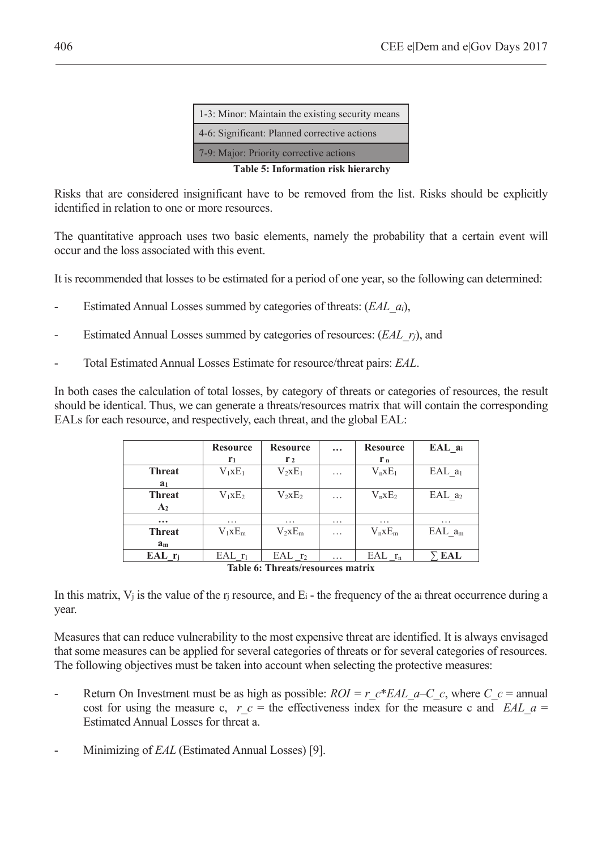| 1-3: Minor: Maintain the existing security means |  |  |  |  |  |
|--------------------------------------------------|--|--|--|--|--|
| 4-6: Significant: Planned corrective actions     |  |  |  |  |  |
| 7-9: Major: Priority corrective actions          |  |  |  |  |  |
| Table 5: Information risk hierarchy              |  |  |  |  |  |

Risks that are considered insignificant have to be removed from the list. Risks should be explicitly identified in relation to one or more resources.

The quantitative approach uses two basic elements, namely the probability that a certain event will occur and the loss associated with this event.

It is recommended that losses to be estimated for a period of one year, so the following can determined:

- Estimated Annual Losses summed by categories of threats: (*EAL\_ai*),
- Estimated Annual Losses summed by categories of resources: (*EAL\_rj*), and
- Total Estimated Annual Losses Estimate for resource/threat pairs: *EAL*.

In both cases the calculation of total losses, by category of threats or categories of resources, the result should be identical. Thus, we can generate a threats/resources matrix that will contain the corresponding EALs for each resource, and respectively, each threat, and the global EAL:

|                                   | <b>Resource</b> | <b>Resource</b> | $\cdots$ | <b>Resource</b> | $EAL_ai$             |  |  |  |
|-----------------------------------|-----------------|-----------------|----------|-----------------|----------------------|--|--|--|
|                                   | r <sub>1</sub>  | r <sub>2</sub>  |          | $r_{n}$         |                      |  |  |  |
| <b>Threat</b>                     | $V_1xE_1$       | $V_2xE_1$       | .        | $V_nxE_1$       | EAL $a_1$            |  |  |  |
| a <sub>1</sub>                    |                 |                 |          |                 |                      |  |  |  |
| <b>Threat</b>                     | $V_1xE_2$       | $V_2xE_2$       | .        | $V_nxE_2$       | $EAL_a$ <sub>2</sub> |  |  |  |
| A <sub>2</sub>                    |                 |                 |          |                 |                      |  |  |  |
| $\cdots$                          | .               | $\cdots$        | $\cdots$ | .               | .                    |  |  |  |
| <b>Threat</b>                     | $V_1xE_m$       | $V_2xE_m$       | .        | $V_nxE_m$       | $EAL_a_m$            |  |  |  |
| a <sub>m</sub>                    |                 |                 |          |                 |                      |  |  |  |
| $EAL$ $r_i$                       | $EAL$ $r_1$     | $EAL_{T2}$      | .        | $EAL$ $r_n$     | EAL                  |  |  |  |
| Table 6: Threats/resources matrix |                 |                 |          |                 |                      |  |  |  |

**Table 6: Threats/resources matrix** 

In this matrix,  $V_i$  is the value of the r<sub>i</sub> resource, and  $E_i$  - the frequency of the a<sub>i</sub> threat occurrence during a year.

Measures that can reduce vulnerability to the most expensive threat are identified. It is always envisaged that some measures can be applied for several categories of threats or for several categories of resources. The following objectives must be taken into account when selecting the protective measures:

- Return On Investment must be as high as possible:  $ROI = r c*EAL \t a-C \t c$ , where  $C \t c =$  annual cost for using the measure c,  $r_c$  = the effectiveness index for the measure c and *EAL*  $a =$ Estimated Annual Losses for threat a.
- Minimizing of *EAL* (Estimated Annual Losses) [9].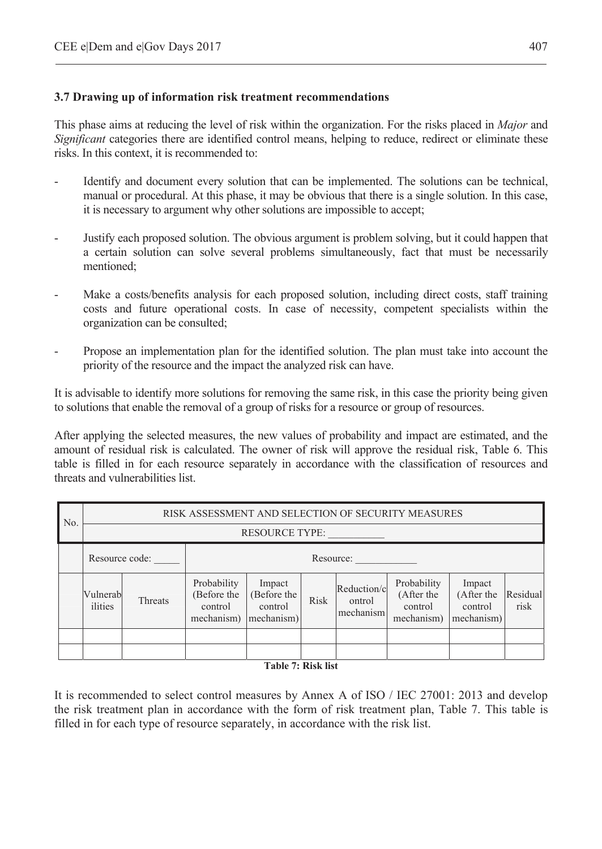### **3.7 Drawing up of information risk treatment recommendations**

This phase aims at reducing the level of risk within the organization. For the risks placed in *Major* and *Significant* categories there are identified control means, helping to reduce, redirect or eliminate these risks. In this context, it is recommended to:

- Identify and document every solution that can be implemented. The solutions can be technical, manual or procedural. At this phase, it may be obvious that there is a single solution. In this case, it is necessary to argument why other solutions are impossible to accept;
- Justify each proposed solution. The obvious argument is problem solving, but it could happen that a certain solution can solve several problems simultaneously, fact that must be necessarily mentioned;
- Make a costs/benefits analysis for each proposed solution, including direct costs, staff training costs and future operational costs. In case of necessity, competent specialists within the organization can be consulted;
- Propose an implementation plan for the identified solution. The plan must take into account the priority of the resource and the impact the analyzed risk can have.

It is advisable to identify more solutions for removing the same risk, in this case the priority being given to solutions that enable the removal of a group of risks for a resource or group of resources.

After applying the selected measures, the new values of probability and impact are estimated, and the amount of residual risk is calculated. The owner of risk will approve the residual risk, Table 6. This table is filled in for each resource separately in accordance with the classification of resources and threats and vulnerabilities list.

| No. | RISK ASSESSMENT AND SELECTION OF SECURITY MEASURES |         |                                                     |                                                |             |                                    |                                                    |                                               |                  |  |
|-----|----------------------------------------------------|---------|-----------------------------------------------------|------------------------------------------------|-------------|------------------------------------|----------------------------------------------------|-----------------------------------------------|------------------|--|
|     | <b>RESOURCE TYPE:</b>                              |         |                                                     |                                                |             |                                    |                                                    |                                               |                  |  |
|     | Resource code:<br>Resource:                        |         |                                                     |                                                |             |                                    |                                                    |                                               |                  |  |
|     | Vulnerab<br>ilities                                | Threats | Probability<br>(Before the<br>control<br>mechanism) | Impact<br>(Before the<br>control<br>mechanism) | <b>Risk</b> | Reduction/c<br>ontrol<br>mechanism | Probability<br>(After the<br>control<br>mechanism) | Impact<br>(After the<br>control<br>mechanism) | Residual<br>risk |  |
|     |                                                    |         |                                                     |                                                |             |                                    |                                                    |                                               |                  |  |
|     |                                                    |         |                                                     | .                                              |             |                                    |                                                    |                                               |                  |  |

**Table 7: Risk list** 

It is recommended to select control measures by Annex A of ISO / IEC 27001: 2013 and develop the risk treatment plan in accordance with the form of risk treatment plan, Table 7. This table is filled in for each type of resource separately, in accordance with the risk list.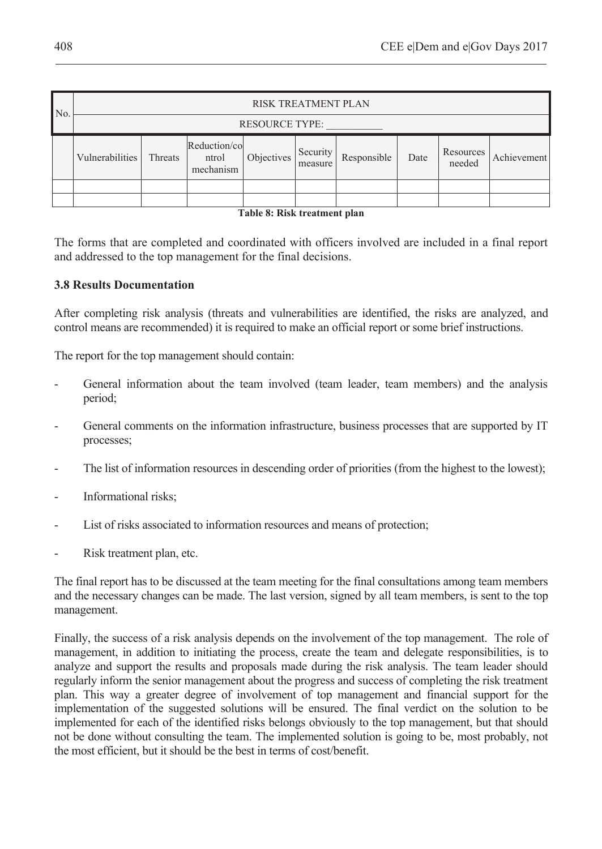| N <sub>o</sub> |                       | <b>RISK TREATMENT PLAN</b> |                                    |            |                     |             |      |                     |             |  |  |
|----------------|-----------------------|----------------------------|------------------------------------|------------|---------------------|-------------|------|---------------------|-------------|--|--|
|                | <b>RESOURCE TYPE:</b> |                            |                                    |            |                     |             |      |                     |             |  |  |
|                | Vulnerabilities       | Threats                    | Reduction/co<br>ntrol<br>mechanism | Objectives | Security<br>measure | Responsible | Date | Resources<br>needed | Achievement |  |  |
|                |                       |                            |                                    |            |                     |             |      |                     |             |  |  |
|                |                       |                            |                                    |            |                     |             |      |                     |             |  |  |

#### **Table 8: Risk treatment plan**

The forms that are completed and coordinated with officers involved are included in a final report and addressed to the top management for the final decisions.

#### **3.8 Results Documentation**

After completing risk analysis (threats and vulnerabilities are identified, the risks are analyzed, and control means are recommended) it is required to make an official report or some brief instructions.

The report for the top management should contain:

- General information about the team involved (team leader, team members) and the analysis period;
- General comments on the information infrastructure, business processes that are supported by IT processes;
- The list of information resources in descending order of priorities (from the highest to the lowest);
- Informational risks;
- List of risks associated to information resources and means of protection;
- Risk treatment plan, etc.

The final report has to be discussed at the team meeting for the final consultations among team members and the necessary changes can be made. The last version, signed by all team members, is sent to the top management.

Finally, the success of a risk analysis depends on the involvement of the top management. The role of management, in addition to initiating the process, create the team and delegate responsibilities, is to analyze and support the results and proposals made during the risk analysis. The team leader should regularly inform the senior management about the progress and success of completing the risk treatment plan. This way a greater degree of involvement of top management and financial support for the implementation of the suggested solutions will be ensured. The final verdict on the solution to be implemented for each of the identified risks belongs obviously to the top management, but that should not be done without consulting the team. The implemented solution is going to be, most probably, not the most efficient, but it should be the best in terms of cost/benefit.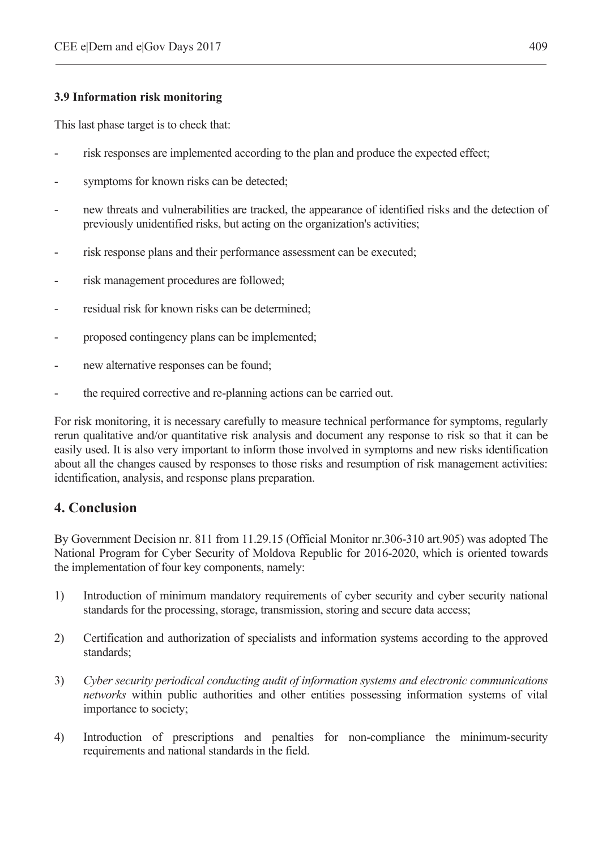### **3.9 Information risk monitoring**

This last phase target is to check that:

- risk responses are implemented according to the plan and produce the expected effect;
- symptoms for known risks can be detected;
- new threats and vulnerabilities are tracked, the appearance of identified risks and the detection of previously unidentified risks, but acting on the organization's activities;
- risk response plans and their performance assessment can be executed;
- risk management procedures are followed;
- residual risk for known risks can be determined;
- proposed contingency plans can be implemented;
- new alternative responses can be found;
- the required corrective and re-planning actions can be carried out.

For risk monitoring, it is necessary carefully to measure technical performance for symptoms, regularly rerun qualitative and/or quantitative risk analysis and document any response to risk so that it can be easily used. It is also very important to inform those involved in symptoms and new risks identification about all the changes caused by responses to those risks and resumption of risk management activities: identification, analysis, and response plans preparation.

## **4. Conclusion**

By Government Decision nr. 811 from 11.29.15 (Official Monitor nr.306-310 art.905) was adopted The National Program for Cyber Security of Moldova Republic for 2016-2020, which is oriented towards the implementation of four key components, namely:

- 1) Introduction of minimum mandatory requirements of cyber security and cyber security national standards for the processing, storage, transmission, storing and secure data access;
- 2) Certification and authorization of specialists and information systems according to the approved standards;
- 3) *Cyber security periodical conducting audit of information systems and electronic communications networks* within public authorities and other entities possessing information systems of vital importance to society;
- 4) Introduction of prescriptions and penalties for non-compliance the minimum-security requirements and national standards in the field.